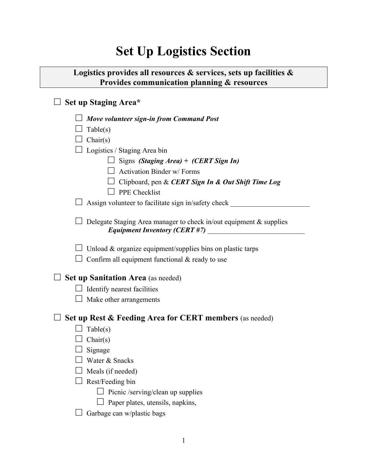## **Set Up Logistics Section**

## **Logistics provides all resources & services, sets up facilities & Provides communication planning & resources**

## □ **Set up Staging Area\***

| Move volunteer sign-in from Command Post                                                                           |
|--------------------------------------------------------------------------------------------------------------------|
| $\perp$ Table(s)                                                                                                   |
| $\Box$ Chair(s)                                                                                                    |
| $\perp$ Logistics / Staging Area bin                                                                               |
| Signs (Staging Area) + (CERT Sign In)                                                                              |
| $\Box$ Activation Binder w/ Forms                                                                                  |
| $\perp$ Clipboard, pen & CERT Sign In & Out Shift Time Log                                                         |
| PPE Checklist                                                                                                      |
| $\perp$ Assign volunteer to facilitate sign in/safety check                                                        |
| $\perp$ Delegate Staging Area manager to check in/out equipment & supplies<br><b>Equipment Inventory (CERT #7)</b> |
| $\perp$ Unload & organize equipment/supplies bins on plastic tarps                                                 |
| $\Box$ Confirm all equipment functional & ready to use                                                             |
| <b>Set up Sanitation Area</b> (as needed)                                                                          |
| $\Box$ Identify nearest facilities                                                                                 |
| Make other arrangements                                                                                            |
| Set up Rest & Feeding Area for CERT members (as needed)                                                            |
| Table(s)                                                                                                           |
| $\int$ Chair(s)                                                                                                    |
| $\Box$ Signage                                                                                                     |
| $\Box$ Water & Snacks                                                                                              |
| $\Box$ Meals (if needed)                                                                                           |
| $\Box$ Rest/Feeding bin                                                                                            |
| $\Box$ Picnic /serving/clean up supplies                                                                           |
| $\Box$ Paper plates, utensils, napkins,                                                                            |
| Garbage can w/plastic bags                                                                                         |